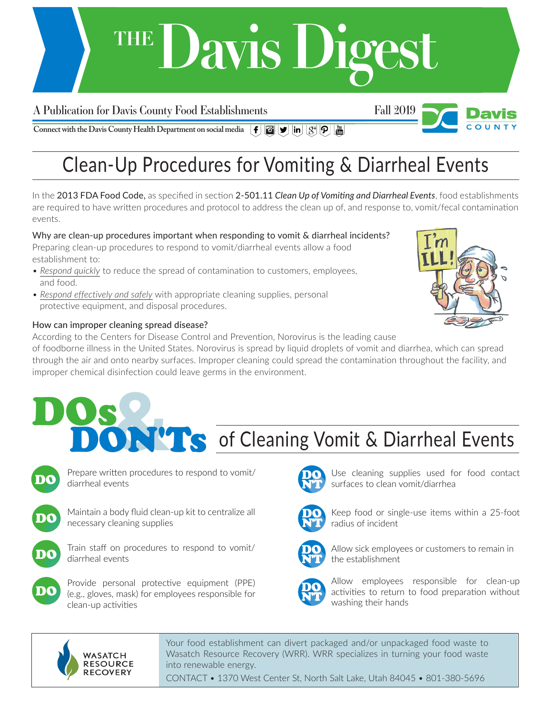## **Davis Digest THE**

### A Publication for Davis County Food Establishments Fall 2019



**Connect with the Davis County Health Department on social media**  $\left[\mathbf{f} \right] [\mathbf{G}] [\mathbf{y}] [\mathbf{in}] [g^*] [\mathbf{p}] [\mathbf{m}]$ 

## Clean-Up Procedures for Vomiting & Diarrheal Events

In the 2013 FDA Food Code, as specified in section 2-501.11 *Clean Up of Vomiting and Diarrheal Events*, food establishments are required to have written procedures and protocol to address the clean up of, and response to, vomit/fecal contamination events.

Why are clean-up procedures important when responding to vomit & diarrheal incidents? Preparing clean-up procedures to respond to vomit/diarrheal events allow a food establishment to:

- *Respond quickly* to reduce the spread of contamination to customers, employees, and food.
- *Respond effectively and safely* with appropriate cleaning supplies, personal protective equipment, and disposal procedures.

#### How can improper cleaning spread disease?

According to the Centers for Disease Control and Prevention, Norovirus is the leading cause

of foodborne illness in the United States. Norovirus is spread by liquid droplets of vomit and diarrhea, which can spread through the air and onto nearby surfaces. Improper cleaning could spread the contamination throughout the facility, and improper chemical disinfection could leave germs in the environment.



# DON'Ts of Cleaning Vomit & Diarrheal Events



DOs

Prepare written procedures to respond to vomit/ diarrheal events



Maintain a body fluid clean-up kit to centralize all necessary cleaning supplies



Train staff on procedures to respond to vomit/ diarrheal events



Provide personal protective equipment (PPE) (e.g., gloves, mask) for employees responsible for clean-up activities



Use cleaning supplies used for food contact surfaces to clean vomit/diarrhea



Keep food or single-use items within a 25-foot radius of incident



Allow sick employees or customers to remain in the establishment



Allow employees responsible for clean-up activities to return to food preparation without washing their hands



Your food establishment can divert packaged and/or unpackaged food waste to Wasatch Resource Recovery (WRR). WRR specializes in turning your food waste into renewable energy.

CONTACT • 1370 West Center St, North Salt Lake, Utah 84045 • 801-380-5696